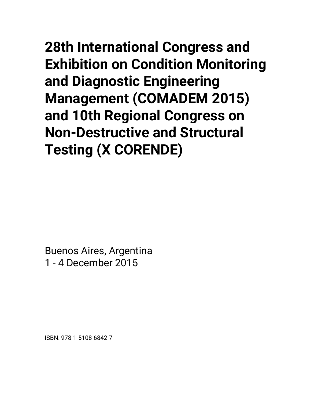**28th International Congress and Exhibition on Condition Monitoring and Diagnostic Engineering Management (COMADEM 2015) and 10th Regional Congress on Non-Destructive and Structural Testing (X CORENDE)** 

Buenos Aires, Argentina 1 - 4 December 2015

ISBN: 978-1-5108-6842-7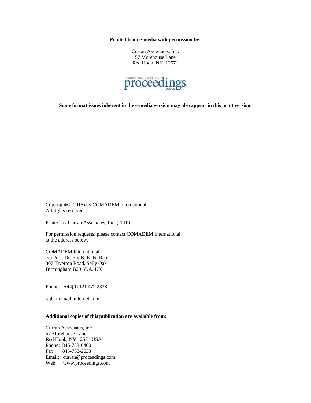**Printed from e-media with permission by:** 

Curran Associates, Inc. 57 Morehouse Lane Red Hook, NY 12571



**Some format issues inherent in the e-media version may also appear in this print version.** 

Copyright© (2015) by COMADEM International All rights reserved.

Printed by Curran Associates, Inc. (2018)

For permission requests, please contact COMADEM International at the address below.

COMADEM International c/o Prof. Dr. Raj B. K. N. Rao 307 Tiverton Road, Selly Oak Birmingham B29 6DA. UK

Phone: +44(0) 121 472 2338

rajbknrao@btinternet.com

## **Additional copies of this publication are available from:**

Curran Associates, Inc. 57 Morehouse Lane Red Hook, NY 12571 USA Phone: 845-758-0400 Fax: 845-758-2633 Email: curran@proceedings.com Web: www.proceedings.com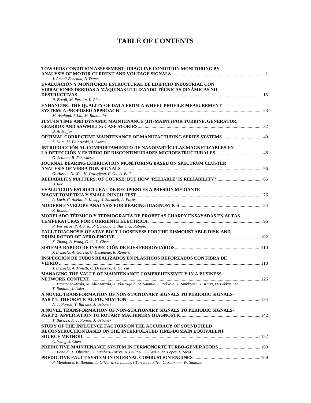## **TABLE OF CONTENTS**

| TOWARDS CONDITION ASSESSMENT: DRAGLINE CONDITION MONITORING BY                                                     |  |
|--------------------------------------------------------------------------------------------------------------------|--|
| J. Amadi-Echendu, B. Duma                                                                                          |  |
| EVALUACIÓN Y MONITOREO ESTRUCTURAL DE EDIFICIO INDUSTRIAL CON                                                      |  |
| VIBRACIONES DEBIDAS A MÁQUINAS UTILIZANDO TÉCNICAS DINÁMICAS NO                                                    |  |
|                                                                                                                    |  |
| N. Ercoli, M. Peralta, L. Pico                                                                                     |  |
| ENHANCING THE QUALITY OF DATA FROM A WHEEL PROFILE MEASUREMENT                                                     |  |
|                                                                                                                    |  |
| M. Asplund, J. Lin, M. Rantatalo                                                                                   |  |
| JUST-IN TIME AND DYNAMIC MAINTENANCE (JIT-MAINT) FOR TURBINE, GENERATOR,                                           |  |
|                                                                                                                    |  |
| B. Al-Najjar                                                                                                       |  |
|                                                                                                                    |  |
| Z. Klim, M. Balazinski, A. Skorek                                                                                  |  |
| INTRODUCCIÓN AL COMPORTAMIENTO DE NANOPARTÍCULAS MAGNETIZABLES EN                                                  |  |
|                                                                                                                    |  |
| G. Scillato, R. Echevarria                                                                                         |  |
| JOURNAL BEARING LUBRICATION MONITORING BASED ON SPECTRUM CLUSTER                                                   |  |
|                                                                                                                    |  |
| O. Hassin, N. Wei, H. Towsyfyan, F. Gu, A. Ball                                                                    |  |
| RELIABILITY MATTERS, OF COURSE; BUT HOW 'RELIABLE' IS RELIABILITY? 65                                              |  |
| B. Rao                                                                                                             |  |
| <b>EVALUACION ESTRUCTURAL DE RECIPIENTES A PRESION MEDIANTE</b>                                                    |  |
|                                                                                                                    |  |
| A. Luch, C. Anello, R. Kempf, J. Sacanell, A. Fortis                                                               |  |
|                                                                                                                    |  |
| R. Randall                                                                                                         |  |
| MODELADO TÉRMICO Y TERMOGRAFÍA DE PROBETAS CHARPY ENSAYADAS EN ALTAS                                               |  |
|                                                                                                                    |  |
| P. Ferreiros, P. Alonso, P. Gargano, S. Ilarri, G. Rubiolo                                                         |  |
| FAULT DIAGNOSIS OF STAY BOLT LOOSENESS FOR THE DISMOUNTABLE DISK-AND-                                              |  |
|                                                                                                                    |  |
| X. Zhang, B. Wang, G. Li, X. Chen                                                                                  |  |
|                                                                                                                    |  |
| J. Brizuela, A. Garcia, C. Desimone, R. Romero                                                                     |  |
| INSPECCIÓN DE TUBOS REALIZADOS EN PLÁSTICOS REFORZADOS CON FIBRA DE                                                |  |
|                                                                                                                    |  |
| J. Brizuela, A. Minetti, C. Desimone, A. Garcia                                                                    |  |
| MANAGING THE VALUE OF MAINTENANCE COMPREHENSIVELY IN A BUSINESS                                                    |  |
|                                                                                                                    |  |
| S. Marttonen-Arola, M. Ali-Marttila, A. Yla-Kujala, M. Saunila, S. Pekkola, T. Sinkkonen, T. Karri, O. Pekkarinen, |  |
| T. Rantala, J. Ukko                                                                                                |  |
| A NOVEL TRANSFORMATION OF NON-STATIONARY SIGNALS TO PERIODIC SIGNALS-                                              |  |
|                                                                                                                    |  |
| A. Jablonski, T. Barszcz, J. Urbanek                                                                               |  |
| A NOVEL TRANSFORMATION OF NON-STATIONARY SIGNALS TO PERIODIC SIGNALS-                                              |  |
|                                                                                                                    |  |
| T. Barszcz, A. Jablonski, J. Urbanek                                                                               |  |
| STUDY OF THE INFLUENCE FACTORS ON THE ACCURACY OF SOUND FIELD                                                      |  |
| RECONSTRUCTION BASED ON THE INTERPOLATED TIME-DOMAIN EQUIVALENT                                                    |  |
|                                                                                                                    |  |
| C. Wang, J. Chen                                                                                                   |  |
|                                                                                                                    |  |
| E. Bonaldi, L. Oliveira, G. Lambert-Torres, A. Pellicel, G. Cassio, M. Lopes, L. Silva                             |  |
|                                                                                                                    |  |
| P. Mendonca, E. Bonaldi, L. Oliveira, G. Lambert-Torres, L. Silva, C. Salomon, W. Santana                          |  |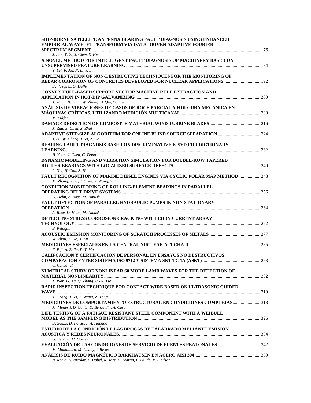| SHIP-BORNE SATELLITE ANTENNA BEARING FAULT DIAGNOSIS USING ENHANCED          |  |
|------------------------------------------------------------------------------|--|
| EMPIRICAL WAVELET TRANSFORM VIA DATA-DRIVEN ADAPTIVE FOURIER                 |  |
|                                                                              |  |
| J. Pan, Y. Zi, J. Chen, S. He                                                |  |
| A NOVEL METHOD FOR INTELLIGENT FAULT DIAGNOSIS OF MACHINERY BASED ON         |  |
|                                                                              |  |
| Y. Lei, F. Jia, N. Li, J. Lin                                                |  |
| IMPLEMENTATION OF NON-DESTRUCTIVE TECHNIQUES FOR THE MONITORING OF           |  |
| REBAR CORROSION OF CONCRETES DEVELOPED FOR NUCLEAR APPLICATIONS  192         |  |
| D. Vazquez, G. Duffo                                                         |  |
| <b>CONVEX HULL-BASED SUPPORT VECTOR MACHINE RULE EXTRACTION AND</b>          |  |
|                                                                              |  |
| J. Wang, B. Yang, W. Zhang, B. Qin, W. Liu                                   |  |
| ANÁLISIS DE VIBRACIONES DE CASOS DE ROCE PARCIAL Y HOLGURA MECÁNICA EN       |  |
|                                                                              |  |
| M. Bulfon                                                                    |  |
|                                                                              |  |
| X. Zhu, X. Chen, Z. Zhai                                                     |  |
|                                                                              |  |
| J. Lu, W. Cheng, Y. Zi, Z. He                                                |  |
| <b>BEARING FAULT DIAGNOSIS BASED ON DISCRIMINATIVE K-SVD FOR DICTIONARY</b>  |  |
| H. Yuan, J. Chen, G. Dong                                                    |  |
| DYNAMIC MODELING AND VIBRATION SIMULATION FOR DOUBLE-ROW TAPERED             |  |
|                                                                              |  |
| L. Niu, H. Cao, Z. He                                                        |  |
| FAULT RECOGNITION OF MARINE DIESEL ENGINES VIA CYCLIC POLAR MAP METHOD  248  |  |
| M. Zhang, Y. Zi, J. Chen, Y. Wang, Y. Li                                     |  |
| <b>CONDITION MONITORING OF ROLLING-ELEMENT BEARINGS IN PARALLEL</b>          |  |
|                                                                              |  |
| D. Helm, A. Rose, M. Timusk                                                  |  |
| <b>FAULT DETECTION OF PARALLEL HYDRAULIC PUMPS IN NON-STATIONARY</b>         |  |
|                                                                              |  |
| A. Rose, D. Helm, M. Timusk                                                  |  |
| DETECTING STRESS CORROSION CRACKING WITH EDDY CURRENT ARRAY                  |  |
|                                                                              |  |
| E. Peloquin                                                                  |  |
|                                                                              |  |
| W. Zhou, Y. He, X. Lu                                                        |  |
|                                                                              |  |
| F. Elfi, A. Bello, P. Tabla                                                  |  |
| <b>CALIFCACION Y CERTIFCACION DE PERSONAL EN ENSAYOS NO DESTRUCTIVOS</b>     |  |
|                                                                              |  |
| C. Carballal                                                                 |  |
| NUMERICAL STUDY OF NONLINEAR S0 MODE LAMB WAVES FOR THE DETECTION OF         |  |
| X. Wan, G. Xu, Q. Zhang, P.-W. Tse                                           |  |
| RAPID INSPECTION TECHNIQUE FOR CONTACT WIRE BASED ON ULTRASONIC GUIDED       |  |
|                                                                              |  |
| Y. Chang, Y. Zi, Y. Wang, Z. Yang                                            |  |
| <b>MEDICIONES DE COMPORTAMIENTO ESTRUCTURAL EN CONDICIONES COMPLEJAS 318</b> |  |
| M. Modesti, D. Conte, D. Benasulin, A. Caro                                  |  |
| LIFE TESTING OF A FATIGUE RESISTANT STEEL COMPONENT WITH A WEIBULL           |  |
|                                                                              |  |
| D. Souza, D. Fonseca, A. Haddad                                              |  |
| ESTUDIO DE LA CONDICIÓN DE LAS BROCAS DE TALADRADO MEDIANTE EMISIÓN          |  |
|                                                                              |  |
| G. Ferrari, M. Gomez                                                         |  |
|                                                                              |  |
| M. Montanaro, M. Godoy, I. Rivas                                             |  |
|                                                                              |  |
| N. Rocio, N. Nicolas, L. Isabel, R. Jose, G. Martin, F. Guido, R. Linilson   |  |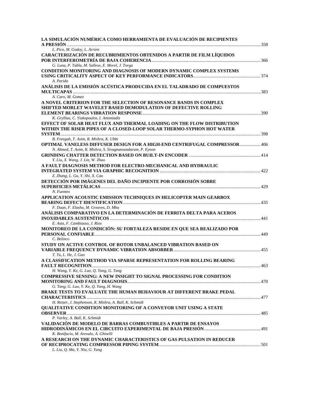| LA SIMULACIÓN NUMÉRICA COMO HERRAMIENTA DE EVALUACIÓN DE RECIPIENTES<br>$\triangle$ PRESIÓN                                                      |  |
|--------------------------------------------------------------------------------------------------------------------------------------------------|--|
| L. Pico, M. Godoy, L. Arrien                                                                                                                     |  |
| CARACTERIZACIÓN DE RECUBRIMIENTOS OBTENIDOS A PARTIR DE FILM LÍQUIDOS                                                                            |  |
| G. Luna, P. Tabla, M. Sallese, E. Morel, J. Torga                                                                                                |  |
| <b>CONDITION MONITORING AND DIAGNOSIS OF MODERN DYNAMIC COMPLEX SYSTEMS</b>                                                                      |  |
| A. Parida                                                                                                                                        |  |
| ANÁLISIS DE LA EMISIÓN ACÚSTICA PRODUCIDA EN EL TALADRADO DE COMPUESTOS                                                                          |  |
| A. Caro, M. Gomez                                                                                                                                |  |
| A NOVEL CRITERION FOR THE SELECTION OF RESONANCE BANDS IN COMPLEX                                                                                |  |
| SHIFTED MORLET WAVELET BASED DEMODULATION OF DEFECTIVE ROLLING                                                                                   |  |
|                                                                                                                                                  |  |
| K. Gryllias, C. Yiakopoulos, I. Antoniadis                                                                                                       |  |
| EFFECT OF SOLAR HEAT FLUX AND THERMAL LOADING ON THE FLOW DISTRIBUTION<br>WITHIN THE RISER PIPES OF A CLOSED-LOOP SOLAR THERMO-SYPHON HOT WATER  |  |
|                                                                                                                                                  |  |
| B. Freegah, T. Asim, R. Mishra, K. Ubbi                                                                                                          |  |
| <b>OPTIMAL VANELESS DIFFUSER DESIGN FOR A HIGH-END CENTRIFUGAL COMPRESSOR 406</b><br>N. Ahmed, T. Asim, R. Mishra, S. Sivagnansundaram, P. Eynon |  |
|                                                                                                                                                  |  |
| Y. Liu, X. Wang, J. Lin, W. Zhao                                                                                                                 |  |
| A FAULT DIAGNOSIS METHOD FOR ELECTRO-MECHANICAL AND HYDRAULIC                                                                                    |  |
|                                                                                                                                                  |  |
| Z. Zhang, L. Gu, Y. Shi, X. Cao                                                                                                                  |  |
| DETECCIÓN POR IMÁGENES DEL DAÑO INCIPIENTE POR CORROSIÓN SOBRE                                                                                   |  |
| N. Fuentes                                                                                                                                       |  |
| APPLICATION ACOUSTIC EMISSION TECHNIQUES IN HELICOPTER MAIN GEARBOX                                                                              |  |
|                                                                                                                                                  |  |
| F. Duan, F. Elasha, M. Greaves, D. Mba                                                                                                           |  |
| ANÁLISIS COMPARATIVO EN LA DETERMINACIÓN DE FERRITA DELTA PARA ACEROS                                                                            |  |
|                                                                                                                                                  |  |
| E. Asta, F. Cambiasso, J. Rios                                                                                                                   |  |
| MONITOREO DE LA CONDICIÓN: SU FORTALEZA RESIDE EN QUE SEA REALIZADO POR                                                                          |  |
| C. Belinco                                                                                                                                       |  |
| STUDY ON ACTIVE CONTROL OF ROTOR UNBALANCED VIBRATION BASED ON                                                                                   |  |
|                                                                                                                                                  |  |
| T. Tu, L. He, J. Gao                                                                                                                             |  |
| A CLASSIFICATION METHOD VIA SPARSE REPRESENTATION FOR ROLLING BEARING                                                                            |  |
|                                                                                                                                                  |  |
| H. Wang, Y. Ke, G. Luo, Q. Yang, G. Tang                                                                                                         |  |
| COMPRESSIVE SENSING: A NEW INSIGHT TO SIGNAL PROCESSING FOR CONDITION                                                                            |  |
|                                                                                                                                                  |  |
| G. Tang, G. Luo, Y. Ke, Q. Yang, H. Wang                                                                                                         |  |
| BRAKE TESTS TO EVALUATE THE HUMAN BEHAVIOUR AT DIFFERENT BRAKE PEDAL                                                                             |  |
|                                                                                                                                                  |  |
| H. Retzer, J. Stephenson, R. Mishra, A. Ball, K. Schmidt                                                                                         |  |
|                                                                                                                                                  |  |
| QUALITATIVE CONDITION MONITORING OF A CONVEYOR UNIT USING A STATE                                                                                |  |
| P. Varley, A. Ball, K. Schmidt                                                                                                                   |  |
| VALIDACIÓN DE MODELO DE BARRAS COMBUSTIBLES A PARTIR DE ENSAYOS                                                                                  |  |
|                                                                                                                                                  |  |
| K. Bonifacio, M. Arevalo, A. Ghiselli                                                                                                            |  |
| A RESEARCH ON THE DYNAMIC CHARACTERISTICS OF GAS PULSATION IN REDUCER                                                                            |  |
| L. Liu, Q. Ma, Y. Niu, G. Yang                                                                                                                   |  |
|                                                                                                                                                  |  |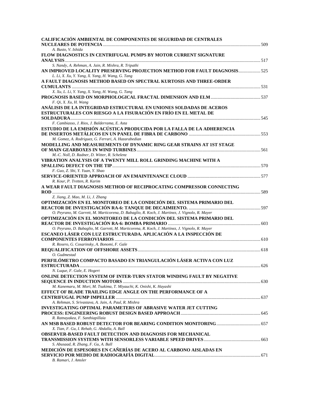| CALIFICACIÓN AMBIENTAL DE COMPONENTES DE SEGURIDAD DE CENTRALES<br><b>NUCLEARES DE POTENCIA </b>                                       |  |
|----------------------------------------------------------------------------------------------------------------------------------------|--|
| A. Busto, V. Ishida                                                                                                                    |  |
| FLOW DIAGNOSTICS IN CENTRIFUGAL PUMPS BY MOTOR CURRENT SIGNATURE                                                                       |  |
| S. Nandy, A. Rehman, A. Jain, R. Mishra, R. Tripathi<br>AN IMPROVED LOCALITY PRESERVING PROJECTION METHOD FOR FAULT DIAGNOSIS 525      |  |
| L. Li, X. Xu, Y. Yang, X. Yang, H. Wang, G. Tang<br>A FAULT DIAGNOSIS METHOD BASED ON SPECTRAL KURTOSIS AND THREE-ORDER                |  |
| X. Xu, L. Li, Y. Yang, X. Yang, H. Wang, G. Tang                                                                                       |  |
| $F.$ Qi, X. Xu, H. Wang                                                                                                                |  |
| ANÁLISIS DE LA INTEGRIDAD ESTRUCTURAL EN UNIONES SOLDADAS DE ACEROS<br>ESTRUCTURALES CON RIESGO A LA FISURACIÓN EN FRÍO EN EL METAL DE |  |
| F. Cambiasso, J. Rios, J. Balderrama, E. Asta                                                                                          |  |
| ESTUDIO DE LA EMISIÓN ACÚSTICA PRODUCIDA POR LA FALLA DE LA ADHERENCIA                                                                 |  |
| M. Gomez, A. Rodriguez, G. Ferrari, A. Hazarabedian<br>MODELLING AND MEASUREMENTS OF DYNAMIC RING GEAR STRAINS AT 1ST STAGE            |  |
| M.-C. Noll, D. Radner, D. Witter, R. Schelenz                                                                                          |  |
| VIBRATION ANALYSIS OF A TWENTY MILL ROLL GRINDING MACHINE WITH A                                                                       |  |
|                                                                                                                                        |  |
| F. Guo, Z. Shi, Y. Yuan, Y. Shao                                                                                                       |  |
| R. Kour, P. Tretten, R. Karim                                                                                                          |  |
| A WEAR FAULT DIAGNOSIS METHOD OF RECIPROCATING COMPRESSOR CONNECTING                                                                   |  |
| Z. Jiang, Z. Mao, M. Li, J. Zhang                                                                                                      |  |
| OPTIMIZACIÓN EN EL MONITOREO DE LA CONDICIÓN DEL SISTEMA PRIMARIO DEL                                                                  |  |
| O. Peyrano, M. Garrett, M. Marticorena, D. Babaglio, R. Koch, J. Martinez, J. Vignolo, R. Mayer                                        |  |
| OPTIMIZACIÓN EN EL MONITOREO DE LA CONDICIÓN DEL SISTEMA PRIMARIO DEL                                                                  |  |
| O. Peyrano, D. Babaglio, M. Garrett, M. Marticorena, R. Koch, J. Martinez, J. Vignolo, R. Mayer                                        |  |
| ESCANEO LÁSER CON LUZ ESTRUCTURADA. APLICACIÓN A LA INSPECCIÓN DE                                                                      |  |
|                                                                                                                                        |  |
| R. Rosero, G. Cosarinsky, A. Bonomi, F. Gale                                                                                           |  |
| O. Gudmestad<br>PERFILÓMETRO COMPACTO BASADO EN TRIANGULACIÓN LÁSER ACTIVA CON LUZ                                                     |  |
|                                                                                                                                        |  |
| N. Luque, F. Gale, E. Hogert<br>ONLINE DETECTION SYSTEM OF INTER-TURN STATOR WINDING FAULT BY NEGATIVE                                 |  |
| M. Kanemaru, M. Mori, M. Tsukima, T. Miyauchi, K. Onishi, K. Hayashi                                                                   |  |
| EFFECT OF BLADE TRAILING EDGE ANGLE ON THE PERFORMANCE OF A                                                                            |  |
| A. Rehman, S. Srivastava, A. Jain, A. Paul, R. Mishra                                                                                  |  |
| INVESTIGATING OPTIMAL PARAMETERS OF ABRASIVE WATER JET CUTTING                                                                         |  |
| R. Ratnayakea, F. Santhiapillaia                                                                                                       |  |
| X. Tian, F. Gu, I. Rehab, G. Abdalla, A. Ball                                                                                          |  |
| <b>OBSERVER-BASED FAULT DETECTION AND DIAGNOSIS FOR MECHANICAL</b>                                                                     |  |
| S. Abusaad, R. Zhang, F. Gu, A. Ball                                                                                                   |  |
| MEDICIÓN DE ESPESORES EN CAÑERÍAS DE ACERO AL CARBONO AISLADAS EN<br>B. Ramari, J. Amsler                                              |  |
|                                                                                                                                        |  |